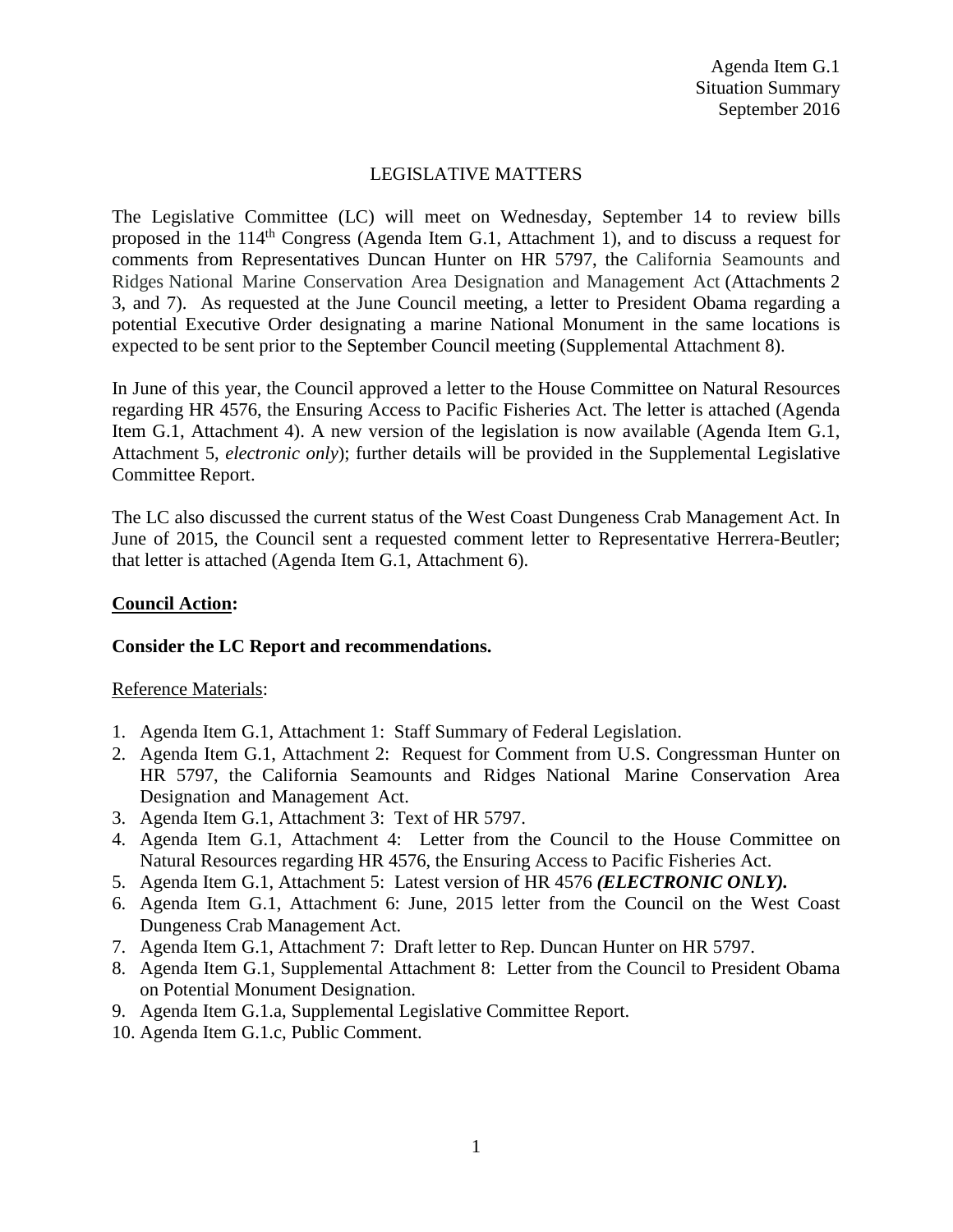## LEGISLATIVE MATTERS

The Legislative Committee (LC) will meet on Wednesday, September 14 to review bills proposed in the 114th Congress (Agenda Item G.1, Attachment 1), and to discuss a request for comments from Representatives Duncan Hunter on HR 5797, the California Seamounts and Ridges National Marine Conservation Area Designation and Management Act (Attachments 2 3, and 7). As requested at the June Council meeting, a letter to President Obama regarding a potential Executive Order designating a marine National Monument in the same locations is expected to be sent prior to the September Council meeting (Supplemental Attachment 8).

In June of this year, the Council approved a letter to the House Committee on Natural Resources regarding HR 4576, the Ensuring Access to Pacific Fisheries Act. The letter is attached (Agenda Item G.1, Attachment 4). A new version of the legislation is now available (Agenda Item G.1, Attachment 5, *electronic only*); further details will be provided in the Supplemental Legislative Committee Report.

The LC also discussed the current status of the West Coast Dungeness Crab Management Act. In June of 2015, the Council sent a requested comment letter to Representative Herrera-Beutler; that letter is attached (Agenda Item G.1, Attachment 6).

### **Council Action:**

### **Consider the LC Report and recommendations.**

### Reference Materials:

- 1. Agenda Item G.1, Attachment 1: Staff Summary of Federal Legislation.
- 2. Agenda Item G.1, Attachment 2: Request for Comment from U.S. Congressman Hunter on HR 5797, the California Seamounts and Ridges National Marine Conservation Area Designation and Management Act.
- 3. Agenda Item G.1, Attachment 3: Text of HR 5797.
- 4. Agenda Item G.1, Attachment 4: Letter from the Council to the House Committee on Natural Resources regarding HR 4576, the Ensuring Access to Pacific Fisheries Act.
- 5. Agenda Item G.1, Attachment 5: Latest version of HR 4576 *(ELECTRONIC ONLY).*
- 6. Agenda Item G.1, Attachment 6: June, 2015 letter from the Council on the West Coast Dungeness Crab Management Act.
- 7. Agenda Item G.1, Attachment 7: Draft letter to Rep. Duncan Hunter on HR 5797.
- 8. Agenda Item G.1, Supplemental Attachment 8: Letter from the Council to President Obama on Potential Monument Designation.
- 9. Agenda Item G.1.a, Supplemental Legislative Committee Report.
- 10. Agenda Item G.1.c, Public Comment.